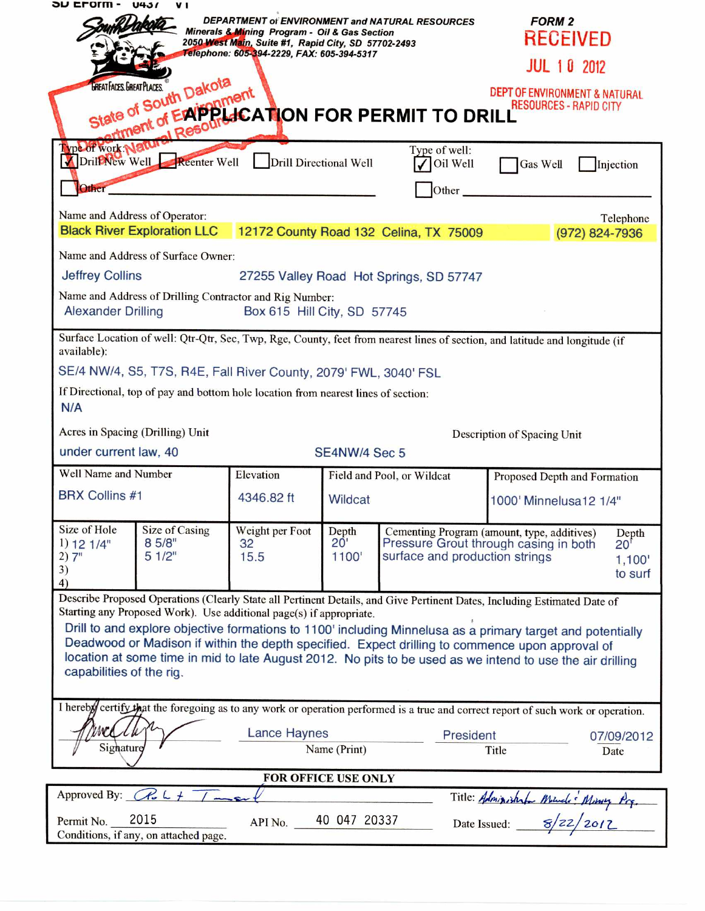|                                                                                                                                             |                                    | Minerals & Mining Program - Oil & Gas Section<br>2050 West Main, Suite #1, Rapid City, SD 57702-2493 |                                | DEPARTMENT of ENVIRONMENT and NATURAL RESOURCES                                                         | <b>FORM 2</b><br>RECEIVED                                                                                                                                                                                                                                                                                                                                                                                                                              |
|---------------------------------------------------------------------------------------------------------------------------------------------|------------------------------------|------------------------------------------------------------------------------------------------------|--------------------------------|---------------------------------------------------------------------------------------------------------|--------------------------------------------------------------------------------------------------------------------------------------------------------------------------------------------------------------------------------------------------------------------------------------------------------------------------------------------------------------------------------------------------------------------------------------------------------|
|                                                                                                                                             |                                    | Telephone: 605-394-2229, FAX: 605-394-5317                                                           |                                |                                                                                                         | <b>JUL 10 2012</b>                                                                                                                                                                                                                                                                                                                                                                                                                                     |
|                                                                                                                                             | State of South Dakota<br>al Resour |                                                                                                      |                                | late of South Dan Dinent<br>Late of South Dan Dinent<br>Lattment of Expendit CATION FOR PERMIT TO DRILL | DEPT OF ENVIRONMENT & NATURAL<br><b>RESOURCES - RAPID CITY</b>                                                                                                                                                                                                                                                                                                                                                                                         |
| Type of work Natu<br>Other                                                                                                                  | DrillWew Well Reenter Well         | Drill Directional Well                                                                               |                                | Type of well:<br>Oil Well<br>Other                                                                      | Gas Well<br>Injection                                                                                                                                                                                                                                                                                                                                                                                                                                  |
| Name and Address of Operator:                                                                                                               |                                    |                                                                                                      |                                | Black River Exploration LLC 12172 County Road 132 Celina, TX 75009                                      | Telephone<br>(972) 824-7936                                                                                                                                                                                                                                                                                                                                                                                                                            |
| Name and Address of Surface Owner:                                                                                                          |                                    |                                                                                                      |                                |                                                                                                         |                                                                                                                                                                                                                                                                                                                                                                                                                                                        |
| <b>Jeffrey Collins</b>                                                                                                                      |                                    |                                                                                                      |                                | 27255 Valley Road Hot Springs, SD 57747                                                                 |                                                                                                                                                                                                                                                                                                                                                                                                                                                        |
| Name and Address of Drilling Contractor and Rig Number:<br><b>Alexander Drilling</b><br>Box 615 Hill City, SD 57745                         |                                    |                                                                                                      |                                |                                                                                                         |                                                                                                                                                                                                                                                                                                                                                                                                                                                        |
| Surface Location of well: Qtr-Qtr, Sec, Twp, Rge, County, feet from nearest lines of section, and latitude and longitude (if<br>available): |                                    |                                                                                                      |                                |                                                                                                         |                                                                                                                                                                                                                                                                                                                                                                                                                                                        |
| SE/4 NW/4, S5, T7S, R4E, Fall River County, 2079' FWL, 3040' FSL                                                                            |                                    |                                                                                                      |                                |                                                                                                         |                                                                                                                                                                                                                                                                                                                                                                                                                                                        |
| If Directional, top of pay and bottom hole location from nearest lines of section:<br>N/A                                                   |                                    |                                                                                                      |                                |                                                                                                         |                                                                                                                                                                                                                                                                                                                                                                                                                                                        |
| Acres in Spacing (Drilling) Unit<br>Description of Spacing Unit                                                                             |                                    |                                                                                                      |                                |                                                                                                         |                                                                                                                                                                                                                                                                                                                                                                                                                                                        |
| under current law, 40<br>SE4NW/4 Sec 5                                                                                                      |                                    |                                                                                                      |                                |                                                                                                         |                                                                                                                                                                                                                                                                                                                                                                                                                                                        |
|                                                                                                                                             |                                    |                                                                                                      |                                |                                                                                                         |                                                                                                                                                                                                                                                                                                                                                                                                                                                        |
| Well Name and Number                                                                                                                        |                                    | Elevation                                                                                            |                                | Field and Pool, or Wildcat                                                                              | Proposed Depth and Formation                                                                                                                                                                                                                                                                                                                                                                                                                           |
| <b>BRX Collins #1</b>                                                                                                                       |                                    | 4346.82 ft                                                                                           | Wildcat                        |                                                                                                         | 1000' Minnelusa12 1/4"                                                                                                                                                                                                                                                                                                                                                                                                                                 |
| Size of Hole<br>1) 12 1/4"<br>2)7"<br>3)<br>4)                                                                                              | Size of Casing<br>8 5/8"<br>51/2"  | Weight per Foot<br>32<br>15.5                                                                        | Depth<br>$20^{\circ}$<br>1100' | surface and production strings                                                                          | Cementing Program (amount, type, additives)<br>Depth<br>Pressure Grout through casing in both<br>$20^{\circ}$<br>1,100'<br>to surf                                                                                                                                                                                                                                                                                                                     |
| capabilities of the rig.                                                                                                                    |                                    | Starting any Proposed Work). Use additional page(s) if appropriate.                                  |                                |                                                                                                         | Describe Proposed Operations (Clearly State all Pertinent Details, and Give Pertinent Dates, Including Estimated Date of<br>Drill to and explore objective formations to 1100' including Minnelusa as a primary target and potentially<br>Deadwood or Madison if within the depth specified. Expect drilling to commence upon approval of<br>location at some time in mid to late August 2012. No pits to be used as we intend to use the air drilling |
|                                                                                                                                             |                                    |                                                                                                      |                                |                                                                                                         |                                                                                                                                                                                                                                                                                                                                                                                                                                                        |
| Signature                                                                                                                                   |                                    | Lance Haynes                                                                                         | Name (Print)                   | President                                                                                               | I hereby certify that the foregoing as to any work or operation performed is a true and correct report of such work or operation.<br>07/09/2012<br>Title<br>Date                                                                                                                                                                                                                                                                                       |
|                                                                                                                                             |                                    | FOR OFFICE USE ONLY                                                                                  |                                |                                                                                                         |                                                                                                                                                                                                                                                                                                                                                                                                                                                        |
| Approved By: $\mathbb{C}$ $\mathbb{C}$ $\downarrow$                                                                                         |                                    |                                                                                                      |                                |                                                                                                         | Title: Administrator Mourde: Minney Prg.                                                                                                                                                                                                                                                                                                                                                                                                               |